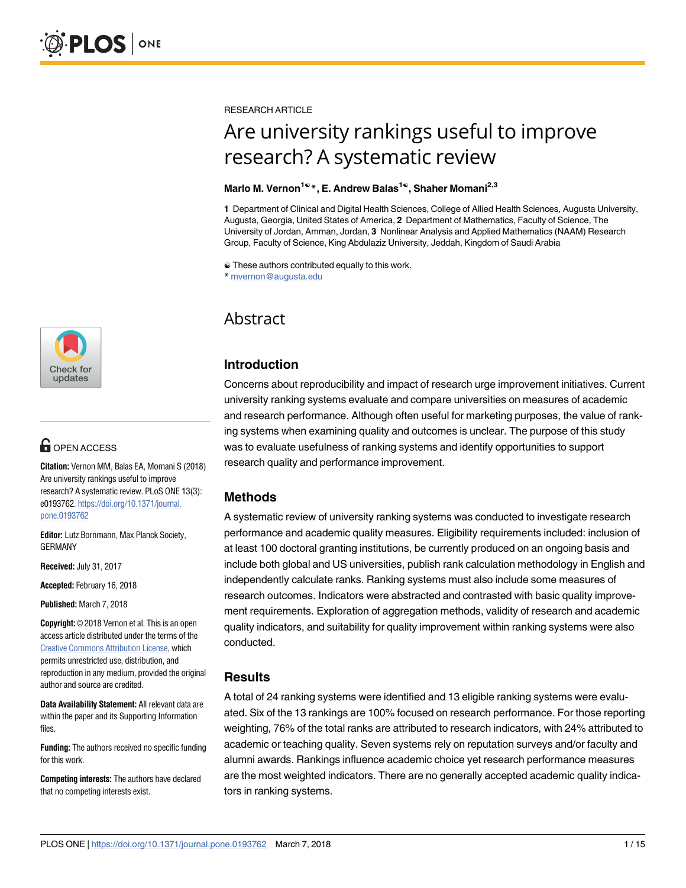RESEARCH ARTICLE

# Are university rankings useful to improve research? A systematic review

#### **Marlo M. Vernon1**☯ **\*, E. Andrew Balas1**☯ **, Shaher Momani2,3**

**1** Department of Clinical and Digital Health Sciences, College of Allied Health Sciences, Augusta University, Augusta, Georgia, United States of America, **2** Department of Mathematics, Faculty of Science, The University of Jordan, Amman, Jordan, **3** Nonlinear Analysis and Applied Mathematics (NAAM) Research Group, Faculty of Science, King Abdulaziz University, Jeddah, Kingdom of Saudi Arabia

☯ These authors contributed equally to this work.

\* mvernon@augusta.edu

## Abstract

## **Introduction**

Concerns about reproducibility and impact of research urge improvement initiatives. Current university ranking systems evaluate and compare universities on measures of academic and research performance. Although often useful for marketing purposes, the value of ranking systems when examining quality and outcomes is unclear. The purpose of this study was to evaluate usefulness of ranking systems and identify opportunities to support research quality and performance improvement.

## **Methods**

A systematic review of university ranking systems was conducted to investigate research performance and academic quality measures. Eligibility requirements included: inclusion of at least 100 doctoral granting institutions, be currently produced on an ongoing basis and include both global and US universities, publish rank calculation methodology in English and independently calculate ranks. Ranking systems must also include some measures of research outcomes. Indicators were abstracted and contrasted with basic quality improvement requirements. Exploration of aggregation methods, validity of research and academic quality indicators, and suitability for quality improvement within ranking systems were also conducted.

## **Results**

A total of 24 ranking systems were identified and 13 eligible ranking systems were evaluated. Six of the 13 rankings are 100% focused on research performance. For those reporting weighting, 76% of the total ranks are attributed to research indicators, with 24% attributed to academic or teaching quality. Seven systems rely on reputation surveys and/or faculty and alumni awards. Rankings influence academic choice yet research performance measures are the most weighted indicators. There are no generally accepted academic quality indicators in ranking systems.



## **G** OPEN ACCESS

**Citation:** Vernon MM, Balas EA, Momani S (2018) Are university rankings useful to improve research? A systematic review. PLoS ONE 13(3): e0193762. [https://doi.org/10.1371/journal.](https://doi.org/10.1371/journal.pone.0193762) [pone.0193762](https://doi.org/10.1371/journal.pone.0193762)

**Editor:** Lutz Bornmann, Max Planck Society, GERMANY

**Received:** July 31, 2017

**Accepted:** February 16, 2018

**Published:** March 7, 2018

**Copyright:** © 2018 Vernon et al. This is an open access article distributed under the terms of the [Creative Commons Attribution License,](http://creativecommons.org/licenses/by/4.0/) which permits unrestricted use, distribution, and reproduction in any medium, provided the original author and source are credited.

**Data Availability Statement:** All relevant data are within the paper and its Supporting Information files.

**Funding:** The authors received no specific funding for this work.

**Competing interests:** The authors have declared that no competing interests exist.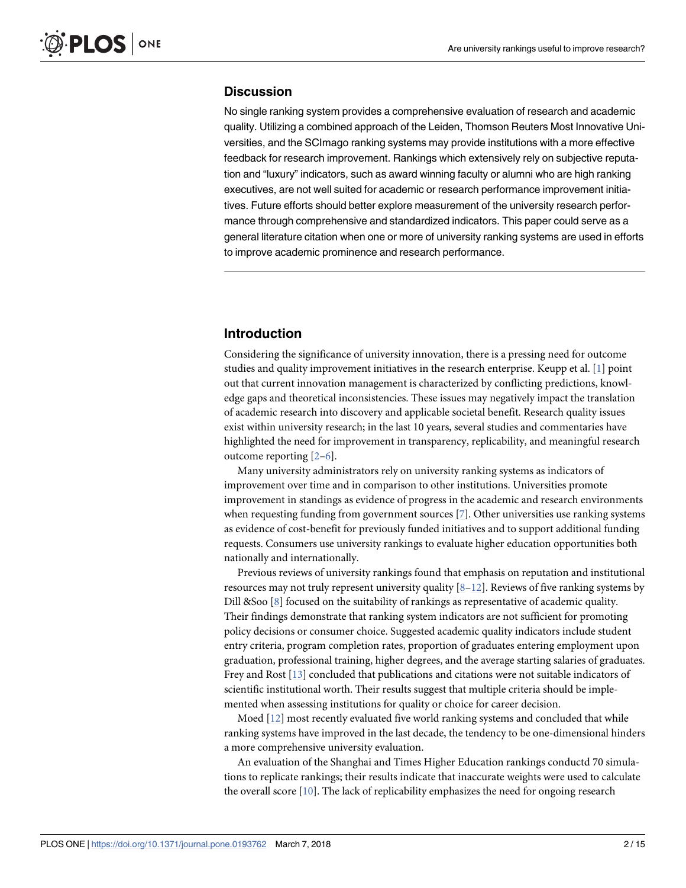#### <span id="page-1-0"></span>**Discussion**

No single ranking system provides a comprehensive evaluation of research and academic quality. Utilizing a combined approach of the Leiden, Thomson Reuters Most Innovative Universities, and the SCImago ranking systems may provide institutions with a more effective feedback for research improvement. Rankings which extensively rely on subjective reputation and "luxury" indicators, such as award winning faculty or alumni who are high ranking executives, are not well suited for academic or research performance improvement initiatives. Future efforts should better explore measurement of the university research performance through comprehensive and standardized indicators. This paper could serve as a general literature citation when one or more of university ranking systems are used in efforts to improve academic prominence and research performance.

#### **Introduction**

Considering the significance of university innovation, there is a pressing need for outcome studies and quality improvement initiatives in the research enterprise. Keupp et al. [\[1](#page-13-0)] point out that current innovation management is characterized by conflicting predictions, knowledge gaps and theoretical inconsistencies. These issues may negatively impact the translation of academic research into discovery and applicable societal benefit. Research quality issues exist within university research; in the last 10 years, several studies and commentaries have highlighted the need for improvement in transparency, replicability, and meaningful research outcome reporting  $[2-6]$ .

Many university administrators rely on university ranking systems as indicators of improvement over time and in comparison to other institutions. Universities promote improvement in standings as evidence of progress in the academic and research environments when requesting funding from government sources [\[7\]](#page-13-0). Other universities use ranking systems as evidence of cost-benefit for previously funded initiatives and to support additional funding requests. Consumers use university rankings to evaluate higher education opportunities both nationally and internationally.

Previous reviews of university rankings found that emphasis on reputation and institutional resources may not truly represent university quality  $[8-12]$ . Reviews of five ranking systems by Dill &Soo [[8](#page-13-0)] focused on the suitability of rankings as representative of academic quality. Their findings demonstrate that ranking system indicators are not sufficient for promoting policy decisions or consumer choice. Suggested academic quality indicators include student entry criteria, program completion rates, proportion of graduates entering employment upon graduation, professional training, higher degrees, and the average starting salaries of graduates. Frey and Rost [[13](#page-13-0)] concluded that publications and citations were not suitable indicators of scientific institutional worth. Their results suggest that multiple criteria should be implemented when assessing institutions for quality or choice for career decision.

Moed  $[12]$  most recently evaluated five world ranking systems and concluded that while ranking systems have improved in the last decade, the tendency to be one-dimensional hinders a more comprehensive university evaluation.

An evaluation of the Shanghai and Times Higher Education rankings conductd 70 simulations to replicate rankings; their results indicate that inaccurate weights were used to calculate the overall score  $[10]$ . The lack of replicability emphasizes the need for ongoing research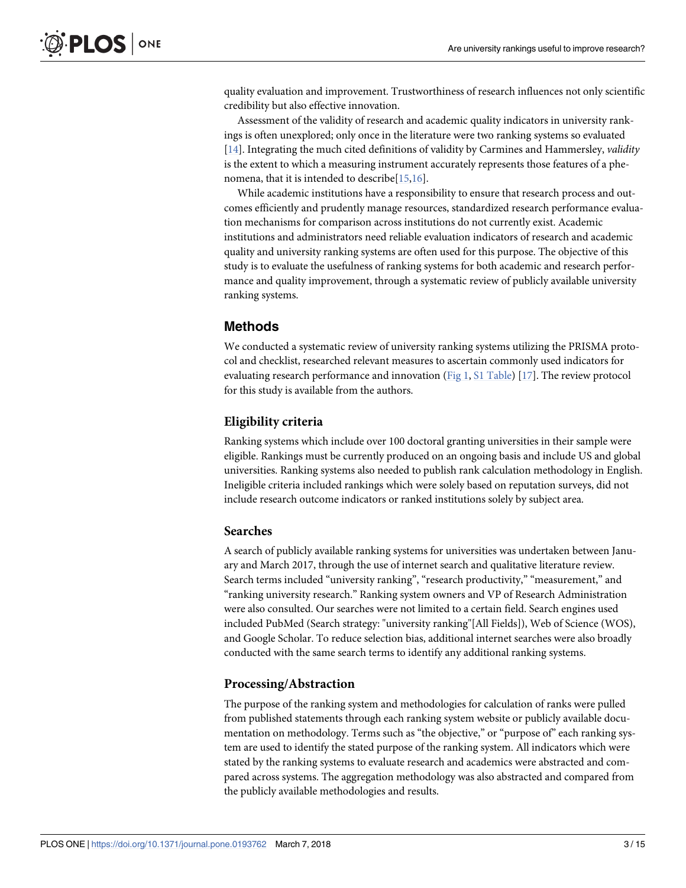<span id="page-2-0"></span>quality evaluation and improvement. Trustworthiness of research influences not only scientific credibility but also effective innovation.

Assessment of the validity of research and academic quality indicators in university rankings is often unexplored; only once in the literature were two ranking systems so evaluated [\[14\]](#page-13-0). Integrating the much cited definitions of validity by Carmines and Hammersley, validity is the extent to which a measuring instrument accurately represents those features of a phenomena, that it is intended to describe[[15](#page-13-0),[16](#page-13-0)].

While academic institutions have a responsibility to ensure that research process and outcomes efficiently and prudently manage resources, standardized research performance evaluation mechanisms for comparison across institutions do not currently exist. Academic institutions and administrators need reliable evaluation indicators of research and academic quality and university ranking systems are often used for this purpose. The objective of this study is to evaluate the usefulness of ranking systems for both academic and research performance and quality improvement, through a systematic review of publicly available university ranking systems.

#### **Methods**

We conducted a systematic review of university ranking systems utilizing the PRISMA protocol and checklist, researched relevant measures to ascertain commonly used indicators for evaluating research performance and innovation ([Fig 1,](#page-3-0) [S1 Table\)](#page-12-0) [[17](#page-13-0)]. The review protocol for this study is available from the authors.

#### **Eligibility criteria**

Ranking systems which include over 100 doctoral granting universities in their sample were eligible. Rankings must be currently produced on an ongoing basis and include US and global universities. Ranking systems also needed to publish rank calculation methodology in English. Ineligible criteria included rankings which were solely based on reputation surveys, did not include research outcome indicators or ranked institutions solely by subject area.

#### **Searches**

A search of publicly available ranking systems for universities was undertaken between January and March 2017, through the use of internet search and qualitative literature review. Search terms included "university ranking", "research productivity," "measurement," and "ranking university research." Ranking system owners and VP of Research Administration were also consulted. Our searches were not limited to a certain field. Search engines used included PubMed (Search strategy: "university ranking"[All Fields]), Web of Science (WOS), and Google Scholar. To reduce selection bias, additional internet searches were also broadly conducted with the same search terms to identify any additional ranking systems.

#### **Processing/Abstraction**

The purpose of the ranking system and methodologies for calculation of ranks were pulled from published statements through each ranking system website or publicly available documentation on methodology. Terms such as "the objective," or "purpose of" each ranking system are used to identify the stated purpose of the ranking system. All indicators which were stated by the ranking systems to evaluate research and academics were abstracted and compared across systems. The aggregation methodology was also abstracted and compared from the publicly available methodologies and results.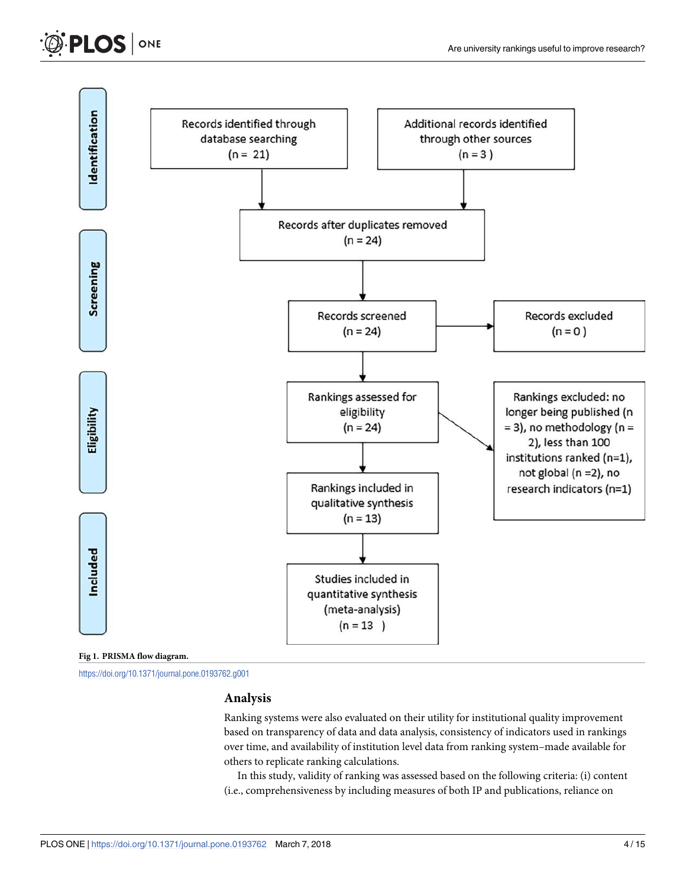



**[Fig 1.](#page-2-0) PRISMA flow diagram.**

ONE

<span id="page-3-0"></span>PLOS I

<https://doi.org/10.1371/journal.pone.0193762.g001>

#### **Analysis**

Ranking systems were also evaluated on their utility for institutional quality improvement based on transparency of data and data analysis, consistency of indicators used in rankings over time, and availability of institution level data from ranking system–made available for others to replicate ranking calculations.

In this study, validity of ranking was assessed based on the following criteria: (i) content (i.e., comprehensiveness by including measures of both IP and publications, reliance on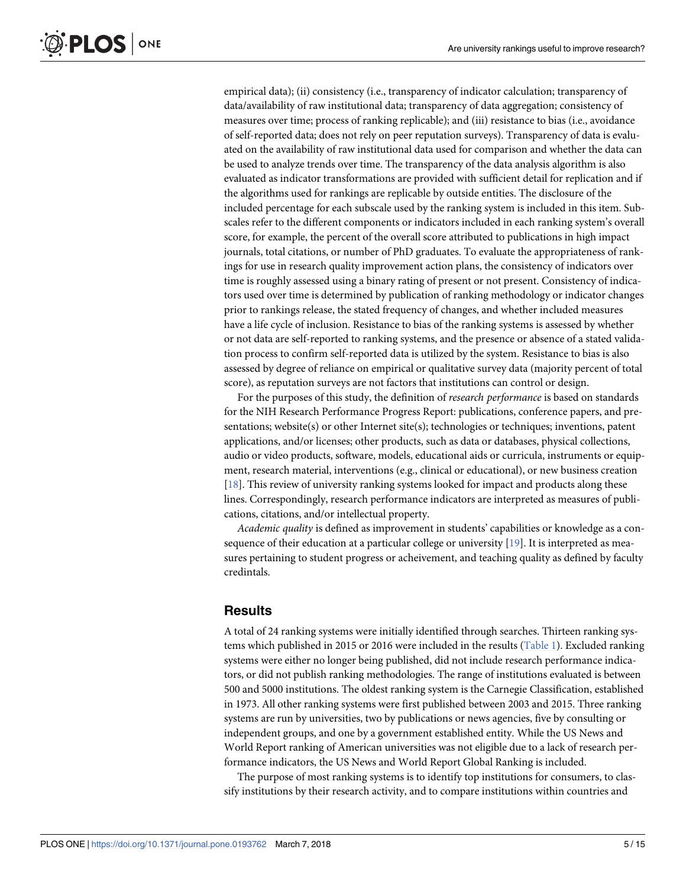<span id="page-4-0"></span>empirical data); (ii) consistency (i.e., transparency of indicator calculation; transparency of data/availability of raw institutional data; transparency of data aggregation; consistency of measures over time; process of ranking replicable); and (iii) resistance to bias (i.e., avoidance of self-reported data; does not rely on peer reputation surveys). Transparency of data is evaluated on the availability of raw institutional data used for comparison and whether the data can be used to analyze trends over time. The transparency of the data analysis algorithm is also evaluated as indicator transformations are provided with sufficient detail for replication and if the algorithms used for rankings are replicable by outside entities. The disclosure of the included percentage for each subscale used by the ranking system is included in this item. Subscales refer to the different components or indicators included in each ranking system's overall score, for example, the percent of the overall score attributed to publications in high impact journals, total citations, or number of PhD graduates. To evaluate the appropriateness of rankings for use in research quality improvement action plans, the consistency of indicators over time is roughly assessed using a binary rating of present or not present. Consistency of indicators used over time is determined by publication of ranking methodology or indicator changes prior to rankings release, the stated frequency of changes, and whether included measures have a life cycle of inclusion. Resistance to bias of the ranking systems is assessed by whether or not data are self-reported to ranking systems, and the presence or absence of a stated validation process to confirm self-reported data is utilized by the system. Resistance to bias is also assessed by degree of reliance on empirical or qualitative survey data (majority percent of total score), as reputation surveys are not factors that institutions can control or design.

For the purposes of this study, the definition of *research performance* is based on standards for the NIH Research Performance Progress Report: publications, conference papers, and presentations; website(s) or other Internet site(s); technologies or techniques; inventions, patent applications, and/or licenses; other products, such as data or databases, physical collections, audio or video products, software, models, educational aids or curricula, instruments or equipment, research material, interventions (e.g., clinical or educational), or new business creation [\[18\]](#page-13-0). This review of university ranking systems looked for impact and products along these lines. Correspondingly, research performance indicators are interpreted as measures of publications, citations, and/or intellectual property.

Academic quality is defined as improvement in students' capabilities or knowledge as a consequence of their education at a particular college or university [[19](#page-13-0)]. It is interpreted as measures pertaining to student progress or acheivement, and teaching quality as defined by faculty credintals.

## **Results**

A total of 24 ranking systems were initially identified through searches. Thirteen ranking systems which published in 2015 or 2016 were included in the results ([Table 1\)](#page-5-0). Excluded ranking systems were either no longer being published, did not include research performance indicators, or did not publish ranking methodologies. The range of institutions evaluated is between 500 and 5000 institutions. The oldest ranking system is the Carnegie Classification, established in 1973. All other ranking systems were first published between 2003 and 2015. Three ranking systems are run by universities, two by publications or news agencies, five by consulting or independent groups, and one by a government established entity. While the US News and World Report ranking of American universities was not eligible due to a lack of research performance indicators, the US News and World Report Global Ranking is included.

The purpose of most ranking systems is to identify top institutions for consumers, to classify institutions by their research activity, and to compare institutions within countries and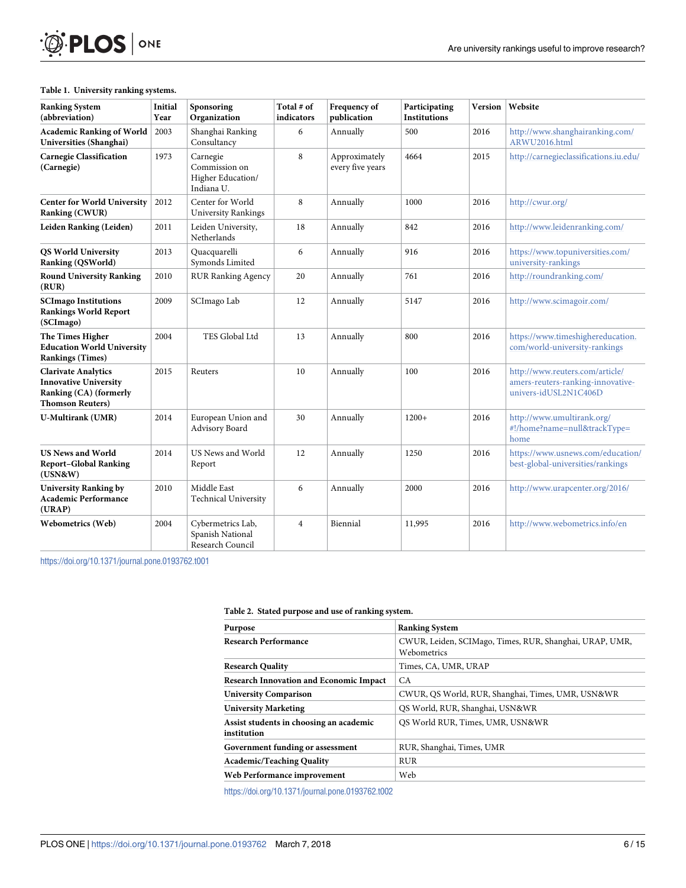#### <span id="page-5-0"></span>**[Table 1.](#page-4-0) University ranking systems.**

| <b>Ranking System</b><br>(abbreviation)                                                                         | Initial<br>Year | Sponsoring<br>Organization                                   | Total # of<br>indicators | Frequency of<br>publication       | Participating<br><b>Institutions</b> | <b>Version</b> | Website                                                                                       |
|-----------------------------------------------------------------------------------------------------------------|-----------------|--------------------------------------------------------------|--------------------------|-----------------------------------|--------------------------------------|----------------|-----------------------------------------------------------------------------------------------|
| <b>Academic Ranking of World</b><br>Universities (Shanghai)                                                     | 2003            | Shanghai Ranking<br>Consultancy                              | 6                        | Annually                          | 500                                  | 2016           | http://www.shanghairanking.com/<br>ARWU2016.html                                              |
| <b>Carnegie Classification</b><br>(Carnegie)                                                                    | 1973            | Carnegie<br>Commission on<br>Higher Education/<br>Indiana U. | 8                        | Approximately<br>every five years | 4664                                 | 2015           | http://carnegieclassifications.iu.edu/                                                        |
| <b>Center for World University</b><br>Ranking (CWUR)                                                            | 2012            | Center for World<br><b>University Rankings</b>               | 8                        | Annually                          | 1000                                 | 2016           | http://cwur.org/                                                                              |
| Leiden Ranking (Leiden)                                                                                         | 2011            | Leiden University,<br>Netherlands                            | 18                       | Annually                          | 842                                  | 2016           | http://www.leidenranking.com/                                                                 |
| <b>QS World University</b><br><b>Ranking (QSWorld)</b>                                                          | 2013            | Quacquarelli<br>Symonds Limited                              | 6                        | Annually                          | 916                                  | 2016           | https://www.topuniversities.com/<br>university-rankings                                       |
| <b>Round University Ranking</b><br>(RUR)                                                                        | 2010            | <b>RUR Ranking Agency</b>                                    | 20                       | Annually                          | 761                                  | 2016           | http://roundranking.com/                                                                      |
| <b>SCImago Institutions</b><br><b>Rankings World Report</b><br>(SCImago)                                        | 2009            | SCImago Lab                                                  | 12                       | Annually                          | 5147                                 | 2016           | http://www.scimagoir.com/                                                                     |
| The Times Higher<br><b>Education World University</b><br><b>Rankings (Times)</b>                                | 2004            | TES Global Ltd                                               | 13                       | Annually                          | 800                                  | 2016           | https://www.timeshighereducation.<br>com/world-university-rankings                            |
| <b>Clarivate Analytics</b><br><b>Innovative University</b><br>Ranking (CA) (formerly<br><b>Thomson Reuters)</b> | 2015            | Reuters                                                      | 10                       | Annually                          | 100                                  | 2016           | http://www.reuters.com/article/<br>amers-reuters-ranking-innovative-<br>univers-idUSL2N1C406D |
| <b>U-Multirank (UMR)</b>                                                                                        | 2014            | European Union and<br>Advisory Board                         | 30                       | Annually                          | $1200+$                              | 2016           | http://www.umultirank.org/<br>#!/home?name=null&trackType=<br>home                            |
| <b>US News and World</b><br><b>Report-Global Ranking</b><br>(USN&W)                                             | 2014            | US News and World<br>Report                                  | 12                       | Annually                          | 1250                                 | 2016           | https://www.usnews.com/education/<br>best-global-universities/rankings                        |
| <b>University Ranking by</b><br><b>Academic Performance</b><br>(URAP)                                           | 2010            | Middle East<br><b>Technical University</b>                   | 6                        | Annually                          | 2000                                 | 2016           | http://www.urapcenter.org/2016/                                                               |
| <b>Webometrics</b> (Web)                                                                                        | 2004            | Cybermetrics Lab,<br>Spanish National<br>Research Council    | $\overline{4}$           | Biennial                          | 11,995                               | 2016           | http://www.webometrics.info/en                                                                |

<https://doi.org/10.1371/journal.pone.0193762.t001>

#### **[Table 2.](#page-6-0) Stated purpose and use of ranking system.**

| Purpose                                                | <b>Ranking System</b>                                                  |
|--------------------------------------------------------|------------------------------------------------------------------------|
| <b>Research Performance</b>                            | CWUR, Leiden, SCIMago, Times, RUR, Shanghai, URAP, UMR,<br>Webometrics |
| <b>Research Quality</b>                                | Times, CA, UMR, URAP                                                   |
| <b>Research Innovation and Economic Impact</b>         | CA <sub></sub>                                                         |
| <b>University Comparison</b>                           | CWUR, QS World, RUR, Shanghai, Times, UMR, USN&WR                      |
| <b>University Marketing</b>                            | QS World, RUR, Shanghai, USN&WR                                        |
| Assist students in choosing an academic<br>institution | OS World RUR, Times, UMR, USN&WR                                       |
| Government funding or assessment                       | RUR, Shanghai, Times, UMR                                              |
| <b>Academic/Teaching Quality</b>                       | <b>RUR</b>                                                             |
| Web Performance improvement                            | Web                                                                    |

<https://doi.org/10.1371/journal.pone.0193762.t002>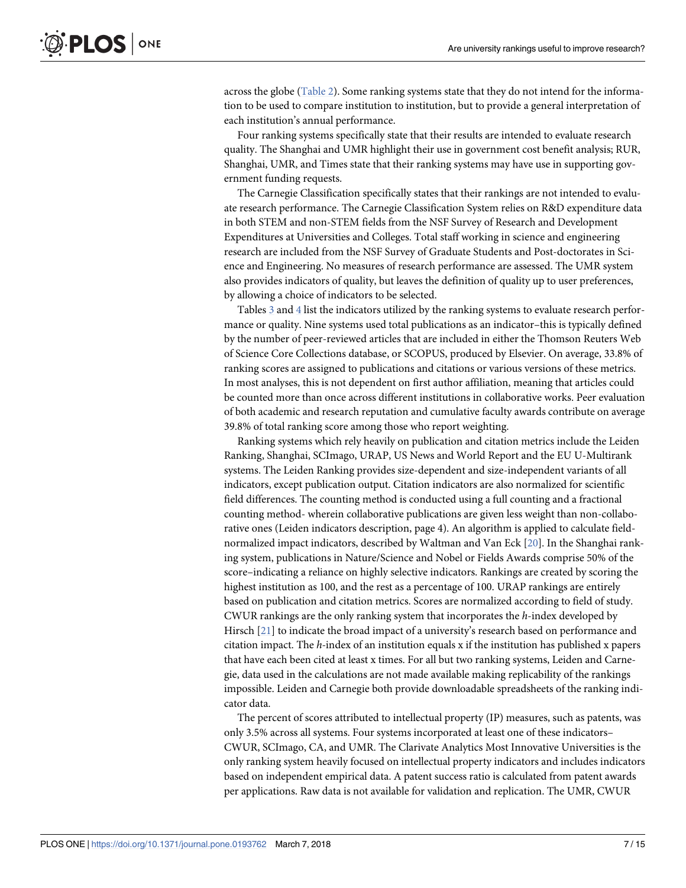<span id="page-6-0"></span>across the globe ([Table 2\)](#page-5-0). Some ranking systems state that they do not intend for the information to be used to compare institution to institution, but to provide a general interpretation of each institution's annual performance.

Four ranking systems specifically state that their results are intended to evaluate research quality. The Shanghai and UMR highlight their use in government cost benefit analysis; RUR, Shanghai, UMR, and Times state that their ranking systems may have use in supporting government funding requests.

The Carnegie Classification specifically states that their rankings are not intended to evaluate research performance. The Carnegie Classification System relies on R&D expenditure data in both STEM and non-STEM fields from the NSF Survey of Research and Development Expenditures at Universities and Colleges. Total staff working in science and engineering research are included from the NSF Survey of Graduate Students and Post-doctorates in Science and Engineering. No measures of research performance are assessed. The UMR system also provides indicators of quality, but leaves the definition of quality up to user preferences, by allowing a choice of indicators to be selected.

Tables [3](#page-7-0) and [4](#page-8-0) list the indicators utilized by the ranking systems to evaluate research performance or quality. Nine systems used total publications as an indicator–this is typically defined by the number of peer-reviewed articles that are included in either the Thomson Reuters Web of Science Core Collections database, or SCOPUS, produced by Elsevier. On average, 33.8% of ranking scores are assigned to publications and citations or various versions of these metrics. In most analyses, this is not dependent on first author affiliation, meaning that articles could be counted more than once across different institutions in collaborative works. Peer evaluation of both academic and research reputation and cumulative faculty awards contribute on average 39.8% of total ranking score among those who report weighting.

Ranking systems which rely heavily on publication and citation metrics include the Leiden Ranking, Shanghai, SCImago, URAP, US News and World Report and the EU U-Multirank systems. The Leiden Ranking provides size-dependent and size-independent variants of all indicators, except publication output. Citation indicators are also normalized for scientific field differences. The counting method is conducted using a full counting and a fractional counting method- wherein collaborative publications are given less weight than non-collaborative ones (Leiden indicators description, page 4). An algorithm is applied to calculate fieldnormalized impact indicators, described by Waltman and Van Eck [[20](#page-13-0)]. In the Shanghai ranking system, publications in Nature/Science and Nobel or Fields Awards comprise 50% of the score–indicating a reliance on highly selective indicators. Rankings are created by scoring the highest institution as 100, and the rest as a percentage of 100. URAP rankings are entirely based on publication and citation metrics. Scores are normalized according to field of study. CWUR rankings are the only ranking system that incorporates the h-index developed by Hirsch [[21](#page-14-0)] to indicate the broad impact of a university's research based on performance and citation impact. The h-index of an institution equals x if the institution has published x papers that have each been cited at least x times. For all but two ranking systems, Leiden and Carnegie, data used in the calculations are not made available making replicability of the rankings impossible. Leiden and Carnegie both provide downloadable spreadsheets of the ranking indicator data.

The percent of scores attributed to intellectual property (IP) measures, such as patents, was only 3.5% across all systems. Four systems incorporated at least one of these indicators– CWUR, SCImago, CA, and UMR. The Clarivate Analytics Most Innovative Universities is the only ranking system heavily focused on intellectual property indicators and includes indicators based on independent empirical data. A patent success ratio is calculated from patent awards per applications. Raw data is not available for validation and replication. The UMR, CWUR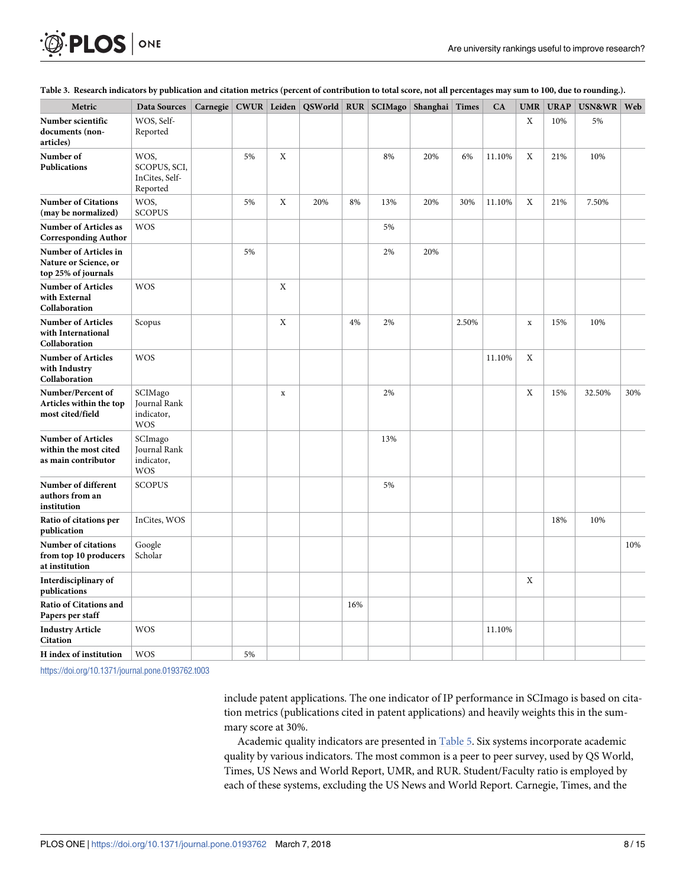| Metric                                                                    | Data Sources                                        |    |             | Carnegie   CWUR   Leiden   QSWorld   RUR   SCIMago   Shanghai   Times |     |     |     |       | CA     | <b>UMR</b>  | <b>URAP</b> | USN&WR | Web |
|---------------------------------------------------------------------------|-----------------------------------------------------|----|-------------|-----------------------------------------------------------------------|-----|-----|-----|-------|--------|-------------|-------------|--------|-----|
| Number scientific<br>documents (non-<br>articles)                         | WOS, Self-<br>Reported                              |    |             |                                                                       |     |     |     |       |        | X           | 10%         | 5%     |     |
| Number of<br>Publications                                                 | WOS,<br>SCOPUS, SCI,<br>InCites, Self-<br>Reported  | 5% | X           |                                                                       |     | 8%  | 20% | 6%    | 11.10% | X           | 21%         | 10%    |     |
| <b>Number of Citations</b><br>(may be normalized)                         | WOS,<br><b>SCOPUS</b>                               | 5% | X           | 20%                                                                   | 8%  | 13% | 20% | 30%   | 11.10% | X           | 21%         | 7.50%  |     |
| <b>Number of Articles as</b><br><b>Corresponding Author</b>               | <b>WOS</b>                                          |    |             |                                                                       |     | 5%  |     |       |        |             |             |        |     |
| Number of Articles in<br>Nature or Science, or<br>top 25% of journals     |                                                     | 5% |             |                                                                       |     | 2%  | 20% |       |        |             |             |        |     |
| <b>Number of Articles</b><br>with External<br>Collaboration               | <b>WOS</b>                                          |    | X           |                                                                       |     |     |     |       |        |             |             |        |     |
| <b>Number of Articles</b><br>with International<br>Collaboration          | Scopus                                              |    | X           |                                                                       | 4%  | 2%  |     | 2.50% |        | $\mathbf x$ | 15%         | 10%    |     |
| <b>Number of Articles</b><br>with Industry<br>Collaboration               | <b>WOS</b>                                          |    |             |                                                                       |     |     |     |       | 11.10% | $\mathbf X$ |             |        |     |
| Number/Percent of<br>Articles within the top<br>most cited/field          | SCIMago<br>Journal Rank<br>indicator,<br><b>WOS</b> |    | $\mathbf x$ |                                                                       |     | 2%  |     |       |        | X           | 15%         | 32.50% | 30% |
| <b>Number of Articles</b><br>within the most cited<br>as main contributor | SCImago<br>Journal Rank<br>indicator,<br><b>WOS</b> |    |             |                                                                       |     | 13% |     |       |        |             |             |        |     |
| Number of different<br>authors from an<br>institution                     | <b>SCOPUS</b>                                       |    |             |                                                                       |     | 5%  |     |       |        |             |             |        |     |
| Ratio of citations per<br>publication                                     | InCites, WOS                                        |    |             |                                                                       |     |     |     |       |        |             | 18%         | 10%    |     |
| Number of citations<br>from top 10 producers<br>at institution            | Google<br>Scholar                                   |    |             |                                                                       |     |     |     |       |        |             |             |        | 10% |
| Interdisciplinary of<br>publications                                      |                                                     |    |             |                                                                       |     |     |     |       |        | X           |             |        |     |
| Ratio of Citations and<br>Papers per staff                                |                                                     |    |             |                                                                       | 16% |     |     |       |        |             |             |        |     |
| <b>Industry Article</b><br>Citation                                       | <b>WOS</b>                                          |    |             |                                                                       |     |     |     |       | 11.10% |             |             |        |     |
| H index of institution                                                    | <b>WOS</b>                                          | 5% |             |                                                                       |     |     |     |       |        |             |             |        |     |

**[Table 3.](#page-6-0) Research indicators by publication and citation metrics (percent of contribution to total score, not all percentages may sum to 100, due to rounding.).**

<https://doi.org/10.1371/journal.pone.0193762.t003>

<span id="page-7-0"></span>**PLOS** ONE

include patent applications. The one indicator of IP performance in SCImago is based on citation metrics (publications cited in patent applications) and heavily weights this in the summary score at 30%.

Academic quality indicators are presented in [Table 5](#page-9-0). Six systems incorporate academic quality by various indicators. The most common is a peer to peer survey, used by QS World, Times, US News and World Report, UMR, and RUR. Student/Faculty ratio is employed by each of these systems, excluding the US News and World Report. Carnegie, Times, and the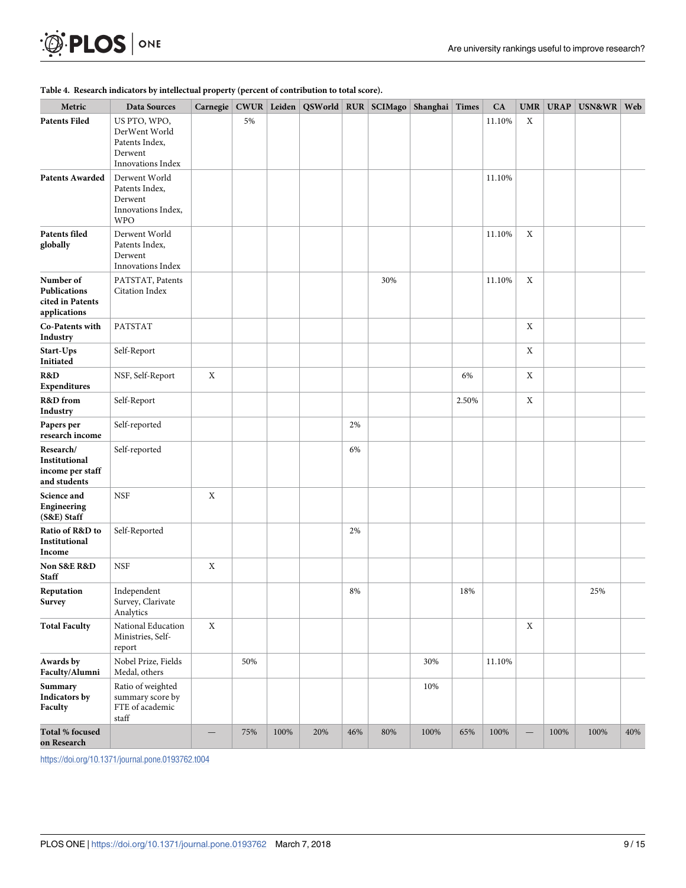<span id="page-8-0"></span>

| Metric                                                               | Data Sources                                                                           | Carnegie    | <b>CWUR</b> | Leiden  | QSWorld   RUR |     | SCIMago | Shanghai | <b>Times</b> | CA      | <b>UMR</b>  | <b>URAP</b> | USN&WR | Web |
|----------------------------------------------------------------------|----------------------------------------------------------------------------------------|-------------|-------------|---------|---------------|-----|---------|----------|--------------|---------|-------------|-------------|--------|-----|
| <b>Patents Filed</b>                                                 | US PTO, WPO,<br>DerWent World<br>Patents Index,<br>Derwent<br><b>Innovations Index</b> |             | 5%          |         |               |     |         |          |              | 11.10%  | $\mathbf X$ |             |        |     |
| <b>Patents Awarded</b>                                               | Derwent World<br>Patents Index,<br>Derwent<br>Innovations Index.<br><b>WPO</b>         |             |             |         |               |     |         |          |              | 11.10%  |             |             |        |     |
| Patents filed<br>globally                                            | Derwent World<br>Patents Index,<br>Derwent<br>Innovations Index                        |             |             |         |               |     |         |          |              | 11.10%  | $\mathbf X$ |             |        |     |
| Number of<br><b>Publications</b><br>cited in Patents<br>applications | PATSTAT, Patents<br>Citation Index                                                     |             |             |         |               |     | 30%     |          |              | 11.10%  | $\mathbf X$ |             |        |     |
| Co-Patents with<br>Industry                                          | PATSTAT                                                                                |             |             |         |               |     |         |          |              |         | X           |             |        |     |
| Start-Ups<br>Initiated                                               | Self-Report                                                                            |             |             |         |               |     |         |          |              |         | X           |             |        |     |
| R&D<br>Expenditures                                                  | NSF, Self-Report                                                                       | X           |             |         |               |     |         |          | 6%           |         | $\mathbf X$ |             |        |     |
| R&D from<br>Industry                                                 | Self-Report                                                                            |             |             |         |               |     |         |          | 2.50%        |         | $\mathbf X$ |             |        |     |
| Papers per<br>research income                                        | Self-reported                                                                          |             |             |         |               | 2%  |         |          |              |         |             |             |        |     |
| Research/<br>Institutional<br>income per staff<br>and students       | Self-reported                                                                          |             |             |         |               | 6%  |         |          |              |         |             |             |        |     |
| Science and<br>Engineering<br>(S&E) Staff                            | <b>NSF</b>                                                                             | $\mathbf X$ |             |         |               |     |         |          |              |         |             |             |        |     |
| Ratio of R&D to<br>Institutional<br>Income                           | Self-Reported                                                                          |             |             |         |               | 2%  |         |          |              |         |             |             |        |     |
| Non S&E R&D<br><b>Staff</b>                                          | <b>NSF</b>                                                                             | X           |             |         |               |     |         |          |              |         |             |             |        |     |
| Reputation<br>Survey                                                 | Independent<br>Survey, Clarivate<br>Analytics                                          |             |             |         |               | 8%  |         |          | 18%          |         |             |             | 25%    |     |
| <b>Total Faculty</b>                                                 | National Education<br>Ministries, Self-<br>report                                      | $\mathbf X$ |             |         |               |     |         |          |              |         | $\mathbf X$ |             |        |     |
| Awards by<br>Faculty/Alumni                                          | Nobel Prize, Fields<br>Medal, others                                                   |             | 50%         |         |               |     |         | 30%      |              | 11.10%  |             |             |        |     |
| Summary<br>Indicators by<br>Faculty                                  | Ratio of weighted<br>summary score by<br>FTE of academic<br>staff                      |             |             |         |               |     |         | 10%      |              |         |             |             |        |     |
| <b>Total % focused</b><br>on Research                                |                                                                                        |             | 75%         | $100\%$ | 20%           | 46% | $80\%$  | 100%     | 65%          | $100\%$ |             | $100\%$     | 100%   | 40% |

#### **[Table 4.](#page-6-0) Research indicators by intellectual property (percent of contribution to total score).**

<https://doi.org/10.1371/journal.pone.0193762.t004>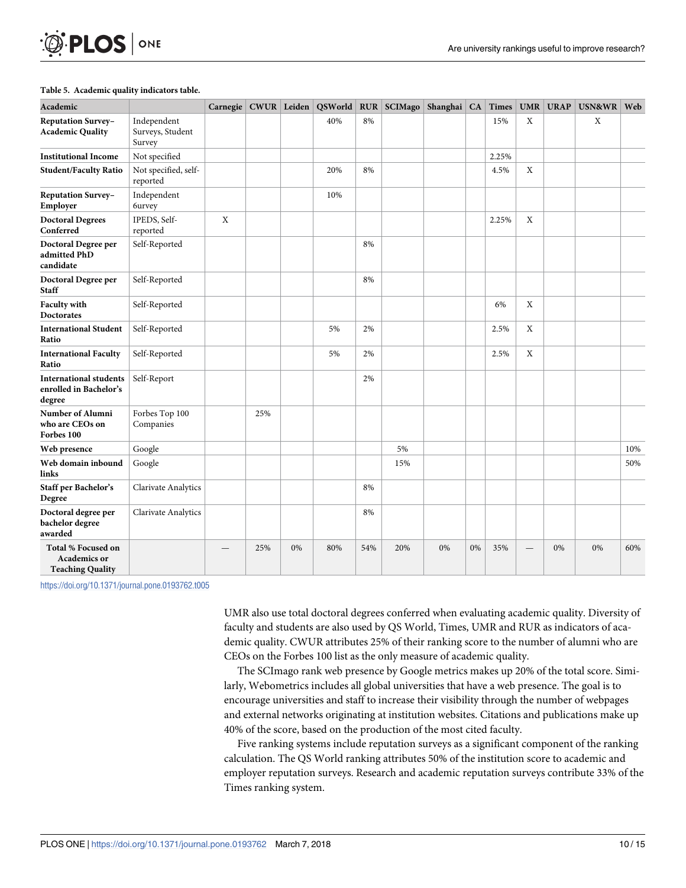#### **[Table 5.](#page-7-0) Academic quality indicators table.**

<span id="page-9-0"></span>PLOS I

ONE

| Academic                                                                    |                                           | Carnegie     | CWUR | Leiden | QSWorld | <b>RUR</b> |     | SCIMago Shanghai | CA | <b>Times</b> | <b>UMR</b>  | <b>URAP</b> | USN&WR      | Web |
|-----------------------------------------------------------------------------|-------------------------------------------|--------------|------|--------|---------|------------|-----|------------------|----|--------------|-------------|-------------|-------------|-----|
| <b>Reputation Survey-</b><br><b>Academic Quality</b>                        | Independent<br>Surveys, Student<br>Survey |              |      |        | 40%     | 8%         |     |                  |    | 15%          | X           |             | $\mathbf X$ |     |
| <b>Institutional Income</b>                                                 | Not specified                             |              |      |        |         |            |     |                  |    | 2.25%        |             |             |             |     |
| <b>Student/Faculty Ratio</b>                                                | Not specified, self-<br>reported          |              |      |        | 20%     | 8%         |     |                  |    | 4.5%         | X           |             |             |     |
| Reputation Survey-<br>Employer                                              | Independent<br>6urvey                     |              |      |        | 10%     |            |     |                  |    |              |             |             |             |     |
| <b>Doctoral Degrees</b><br>Conferred                                        | IPEDS, Self-<br>reported                  | $\mathbf{X}$ |      |        |         |            |     |                  |    | 2.25%        | $\mathbf X$ |             |             |     |
| Doctoral Degree per<br>admitted PhD<br>candidate                            | Self-Reported                             |              |      |        |         | 8%         |     |                  |    |              |             |             |             |     |
| Doctoral Degree per<br><b>Staff</b>                                         | Self-Reported                             |              |      |        |         | 8%         |     |                  |    |              |             |             |             |     |
| Faculty with<br><b>Doctorates</b>                                           | Self-Reported                             |              |      |        |         |            |     |                  |    | 6%           | $\mathbf X$ |             |             |     |
| <b>International Student</b><br>Ratio                                       | Self-Reported                             |              |      |        | 5%      | 2%         |     |                  |    | 2.5%         | X           |             |             |     |
| <b>International Faculty</b><br>Ratio                                       | Self-Reported                             |              |      |        | 5%      | 2%         |     |                  |    | 2.5%         | $\mathbf X$ |             |             |     |
| <b>International students</b><br>enrolled in Bachelor's<br>degree           | Self-Report                               |              |      |        |         | 2%         |     |                  |    |              |             |             |             |     |
| Number of Alumni<br>who are CEOs on<br>Forbes 100                           | Forbes Top 100<br>Companies               |              | 25%  |        |         |            |     |                  |    |              |             |             |             |     |
| Web presence                                                                | Google                                    |              |      |        |         |            | 5%  |                  |    |              |             |             |             | 10% |
| Web domain inbound<br>links                                                 | Google                                    |              |      |        |         |            | 15% |                  |    |              |             |             |             | 50% |
| Staff per Bachelor's<br>Degree                                              | Clarivate Analytics                       |              |      |        |         | 8%         |     |                  |    |              |             |             |             |     |
| Doctoral degree per<br>bachelor degree<br>awarded                           | Clarivate Analytics                       |              |      |        |         | 8%         |     |                  |    |              |             |             |             |     |
| <b>Total % Focused on</b><br><b>Academics or</b><br><b>Teaching Quality</b> |                                           |              | 25%  | 0%     | 80%     | 54%        | 20% | 0%               | 0% | 35%          |             | 0%          | 0%          | 60% |

<https://doi.org/10.1371/journal.pone.0193762.t005>

UMR also use total doctoral degrees conferred when evaluating academic quality. Diversity of faculty and students are also used by QS World, Times, UMR and RUR as indicators of academic quality. CWUR attributes 25% of their ranking score to the number of alumni who are CEOs on the Forbes 100 list as the only measure of academic quality.

The SCImago rank web presence by Google metrics makes up 20% of the total score. Similarly, Webometrics includes all global universities that have a web presence. The goal is to encourage universities and staff to increase their visibility through the number of webpages and external networks originating at institution websites. Citations and publications make up 40% of the score, based on the production of the most cited faculty.

Five ranking systems include reputation surveys as a significant component of the ranking calculation. The QS World ranking attributes 50% of the institution score to academic and employer reputation surveys. Research and academic reputation surveys contribute 33% of the Times ranking system.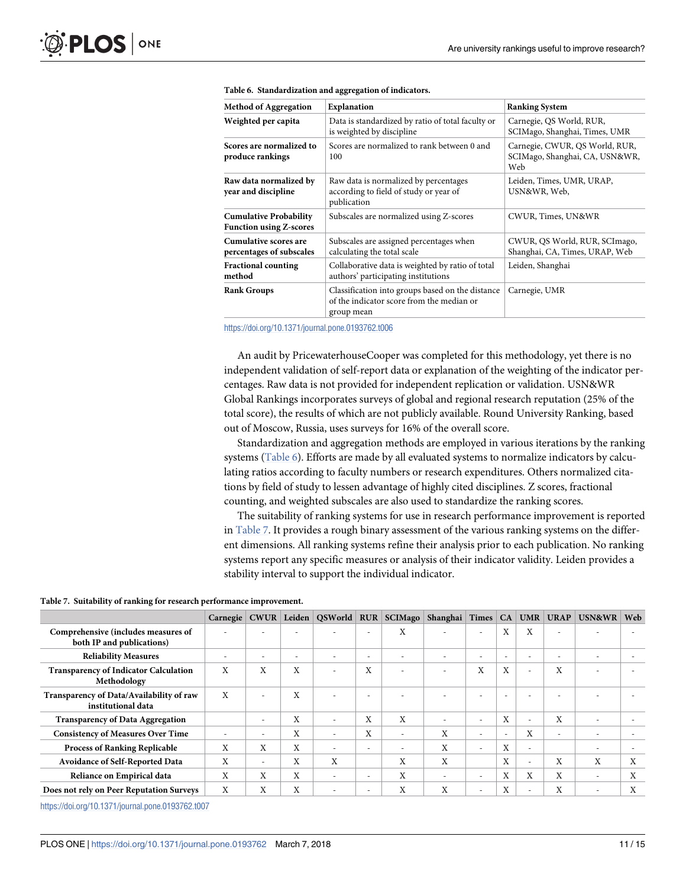| <b>Method of Aggregation</b>                                    | <b>Explanation</b>                                                                                          | <b>Ranking System</b>                                                   |
|-----------------------------------------------------------------|-------------------------------------------------------------------------------------------------------------|-------------------------------------------------------------------------|
| Weighted per capita                                             | Data is standardized by ratio of total faculty or<br>is weighted by discipline                              | Carnegie, QS World, RUR,<br>SCIMago, Shanghai, Times, UMR               |
| Scores are normalized to<br>produce rankings                    | Scores are normalized to rank between 0 and<br>100                                                          | Carnegie, CWUR, QS World, RUR,<br>SCIMago, Shanghai, CA, USN&WR,<br>Web |
| Raw data normalized by<br>year and discipline                   | Raw data is normalized by percentages<br>according to field of study or year of<br>publication              | Leiden, Times, UMR, URAP,<br>USN&WR, Web,                               |
| <b>Cumulative Probability</b><br><b>Function using Z-scores</b> | Subscales are normalized using Z-scores                                                                     | CWUR, Times, UN&WR                                                      |
| Cumulative scores are<br>percentages of subscales               | Subscales are assigned percentages when<br>calculating the total scale                                      | CWUR, QS World, RUR, SCImago,<br>Shanghai, CA, Times, URAP, Web         |
| <b>Fractional counting</b><br>method                            | Collaborative data is weighted by ratio of total<br>authors' participating institutions                     | Leiden, Shanghai                                                        |
| <b>Rank Groups</b>                                              | Classification into groups based on the distance<br>of the indicator score from the median or<br>group mean | Carnegie, UMR                                                           |

#### **Table 6. Standardization and aggregation of indicators.**

<https://doi.org/10.1371/journal.pone.0193762.t006>

An audit by PricewaterhouseCooper was completed for this methodology, yet there is no independent validation of self-report data or explanation of the weighting of the indicator percentages. Raw data is not provided for independent replication or validation. USN&WR Global Rankings incorporates surveys of global and regional research reputation (25% of the total score), the results of which are not publicly available. Round University Ranking, based out of Moscow, Russia, uses surveys for 16% of the overall score.

Standardization and aggregation methods are employed in various iterations by the ranking systems (Table 6). Efforts are made by all evaluated systems to normalize indicators by calculating ratios according to faculty numbers or research expenditures. Others normalized citations by field of study to lessen advantage of highly cited disciplines. Z scores, fractional counting, and weighted subscales are also used to standardize the ranking scores.

The suitability of ranking systems for use in research performance improvement is reported in Table 7. It provides a rough binary assessment of the various ranking systems on the different dimensions. All ranking systems refine their analysis prior to each publication. No ranking systems report any specific measures or analysis of their indicator validity. Leiden provides a stability interval to support the individual indicator.

|  |  |  |  | Table 7. Suitability of ranking for research performance improvement. |  |
|--|--|--|--|-----------------------------------------------------------------------|--|
|--|--|--|--|-----------------------------------------------------------------------|--|

|                                                                  | Carnegie                 | <b>CWUR</b>              | Leiden | <b>QSWorld</b>           | <b>RUR</b>     |                          | SCIMago   Shanghai | Times                    | CA                       | <b>UMR</b>               | <b>URAP</b>              | USN&WR                   | Web |
|------------------------------------------------------------------|--------------------------|--------------------------|--------|--------------------------|----------------|--------------------------|--------------------|--------------------------|--------------------------|--------------------------|--------------------------|--------------------------|-----|
| Comprehensive (includes measures of<br>both IP and publications) |                          |                          |        |                          | $\overline{a}$ | X                        |                    | $\overline{\phantom{a}}$ | X                        | Χ                        | $\overline{\phantom{a}}$ |                          |     |
| <b>Reliability Measures</b>                                      |                          | $\overline{\phantom{a}}$ | ٠      | $\overline{\phantom{a}}$ | $\overline{a}$ |                          |                    | $\overline{\phantom{a}}$ | $\overline{\phantom{a}}$ | ۰                        | $\overline{\phantom{a}}$ |                          |     |
| <b>Transparency of Indicator Calculation</b><br>Methodology      | X                        | X                        | X      | $\overline{\phantom{a}}$ | X              | $\overline{\phantom{a}}$ | ۰                  | Χ                        | X                        | $\overline{\phantom{a}}$ | Χ                        | ۰                        |     |
| Transparency of Data/Availability of raw<br>institutional data   | X                        | $\overline{\phantom{a}}$ | X      |                          | -              |                          |                    | $\overline{\phantom{a}}$ | $\overline{\phantom{a}}$ | ۰                        | $\overline{\phantom{a}}$ |                          |     |
| <b>Transparency of Data Aggregation</b>                          |                          | $\overline{\phantom{a}}$ | Χ      | $\overline{\phantom{a}}$ | X              | $\mathbf{X}$             | ۰                  | $\overline{\phantom{a}}$ | X                        | $\overline{\phantom{a}}$ | X                        | $\overline{\phantom{a}}$ |     |
| <b>Consistency of Measures Over Time</b>                         | $\overline{\phantom{a}}$ | $\overline{\phantom{a}}$ | X      | $\overline{\phantom{a}}$ | X              | $\overline{\phantom{a}}$ | X                  | $\overline{\phantom{a}}$ | $\overline{\phantom{a}}$ | X                        | $\overline{\phantom{a}}$ |                          |     |
| <b>Process of Ranking Replicable</b>                             | X                        | X                        | X      | $\overline{\phantom{a}}$ | $\overline{a}$ | $\overline{\phantom{a}}$ | X                  | $\overline{\phantom{a}}$ | $\mathbf{X}$             | $\overline{\phantom{a}}$ |                          | $\overline{\phantom{a}}$ |     |
| Avoidance of Self-Reported Data                                  | X                        | $\overline{\phantom{a}}$ | X      | X                        |                | X                        | Χ                  |                          | $\mathbf{X}$             | $\overline{\phantom{a}}$ | X                        | X                        | X   |
| Reliance on Empirical data                                       | X                        | X                        | X      | $\overline{\phantom{a}}$ | $\overline{a}$ | X                        | ۰                  | $\overline{\phantom{a}}$ | X                        | X                        | X                        |                          | X   |
| Does not rely on Peer Reputation Surveys                         | X                        | Χ                        | Χ      | $\overline{\phantom{a}}$ | -              | Χ                        | Χ                  | $\overline{\phantom{a}}$ | X                        | ۰                        | X                        |                          | X   |

<https://doi.org/10.1371/journal.pone.0193762.t007>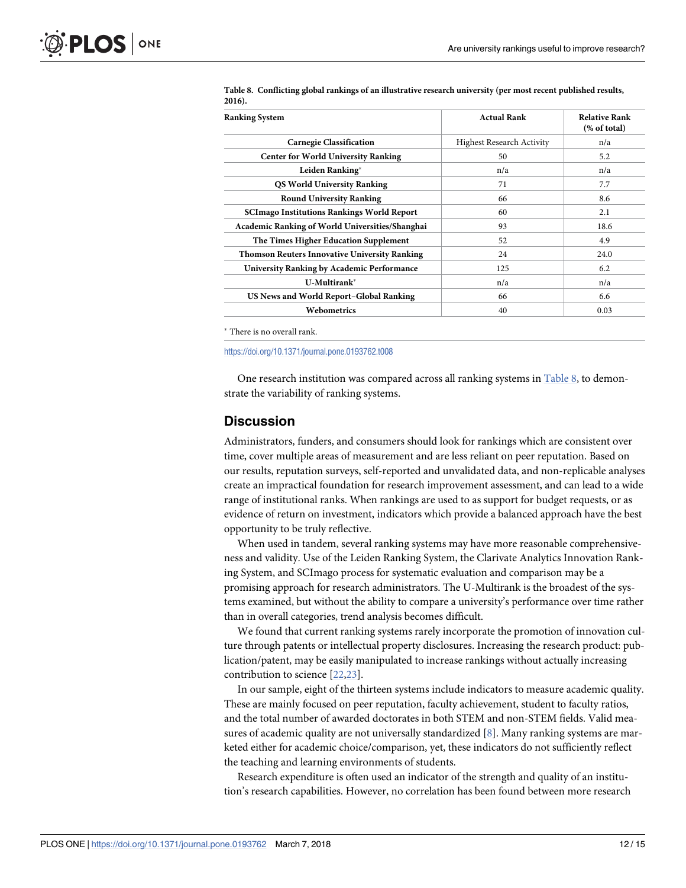| <b>Ranking System</b>                                | <b>Actual Rank</b>               | <b>Relative Rank</b><br>(% of total) |
|------------------------------------------------------|----------------------------------|--------------------------------------|
| <b>Carnegie Classification</b>                       | <b>Highest Research Activity</b> | n/a                                  |
| <b>Center for World University Ranking</b>           | 50                               | 5.2                                  |
| Leiden Ranking*                                      | n/a                              | n/a                                  |
| <b>QS World University Ranking</b>                   | 71                               | 7.7                                  |
| <b>Round University Ranking</b>                      | 66                               | 8.6                                  |
| <b>SCImago Institutions Rankings World Report</b>    | 60                               | 2.1                                  |
| Academic Ranking of World Universities/Shanghai      | 93                               | 18.6                                 |
| The Times Higher Education Supplement                | 52                               | 4.9                                  |
| <b>Thomson Reuters Innovative University Ranking</b> | 24                               | 24.0                                 |
| <b>University Ranking by Academic Performance</b>    | 125                              | 6.2                                  |
| $U$ -Multirank $*$                                   | n/a                              | n/a                                  |
| US News and World Report-Global Ranking              | 66                               | 6.6                                  |
| Webometrics                                          | 40                               | 0.03                                 |

<span id="page-11-0"></span>**Table 8. Conflicting global rankings of an illustrative research university (per most recent published results, 2016).**

There is no overall rank.

<https://doi.org/10.1371/journal.pone.0193762.t008>

One research institution was compared across all ranking systems in Table  $8$ , to demonstrate the variability of ranking systems.

#### **Discussion**

Administrators, funders, and consumers should look for rankings which are consistent over time, cover multiple areas of measurement and are less reliant on peer reputation. Based on our results, reputation surveys, self-reported and unvalidated data, and non-replicable analyses create an impractical foundation for research improvement assessment, and can lead to a wide range of institutional ranks. When rankings are used to as support for budget requests, or as evidence of return on investment, indicators which provide a balanced approach have the best opportunity to be truly reflective.

When used in tandem, several ranking systems may have more reasonable comprehensiveness and validity. Use of the Leiden Ranking System, the Clarivate Analytics Innovation Ranking System, and SCImago process for systematic evaluation and comparison may be a promising approach for research administrators. The U-Multirank is the broadest of the systems examined, but without the ability to compare a university's performance over time rather than in overall categories, trend analysis becomes difficult.

We found that current ranking systems rarely incorporate the promotion of innovation culture through patents or intellectual property disclosures. Increasing the research product: publication/patent, may be easily manipulated to increase rankings without actually increasing contribution to science [\[22,23\]](#page-14-0).

In our sample, eight of the thirteen systems include indicators to measure academic quality. These are mainly focused on peer reputation, faculty achievement, student to faculty ratios, and the total number of awarded doctorates in both STEM and non-STEM fields. Valid measures of academic quality are not universally standardized  $[8]$  $[8]$ . Many ranking systems are marketed either for academic choice/comparison, yet, these indicators do not sufficiently reflect the teaching and learning environments of students.

Research expenditure is often used an indicator of the strength and quality of an institution's research capabilities. However, no correlation has been found between more research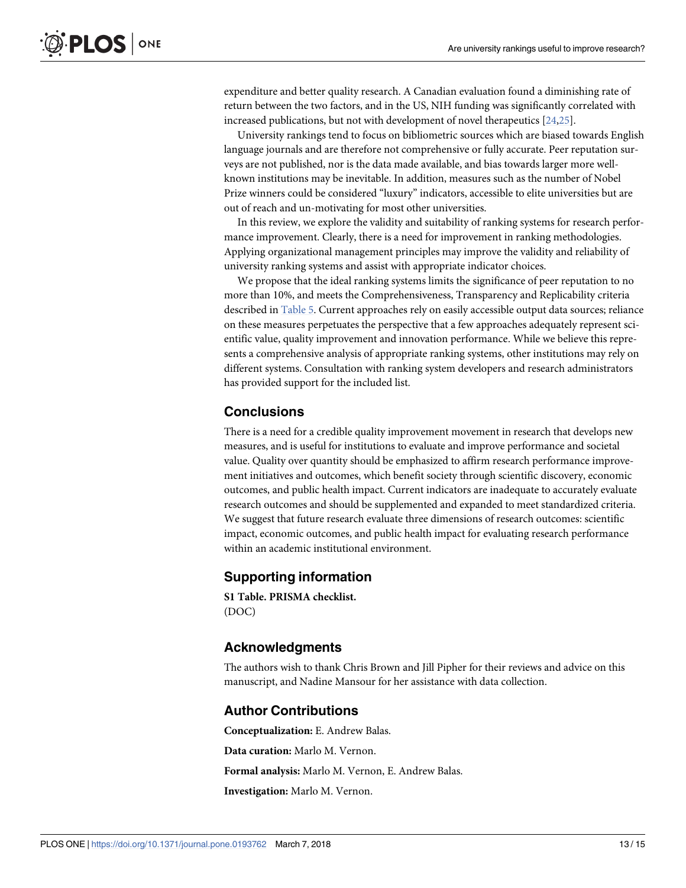<span id="page-12-0"></span>expenditure and better quality research. A Canadian evaluation found a diminishing rate of return between the two factors, and in the US, NIH funding was significantly correlated with increased publications, but not with development of novel therapeutics [\[24,25\]](#page-14-0).

University rankings tend to focus on bibliometric sources which are biased towards English language journals and are therefore not comprehensive or fully accurate. Peer reputation surveys are not published, nor is the data made available, and bias towards larger more wellknown institutions may be inevitable. In addition, measures such as the number of Nobel Prize winners could be considered "luxury" indicators, accessible to elite universities but are out of reach and un-motivating for most other universities.

In this review, we explore the validity and suitability of ranking systems for research performance improvement. Clearly, there is a need for improvement in ranking methodologies. Applying organizational management principles may improve the validity and reliability of university ranking systems and assist with appropriate indicator choices.

We propose that the ideal ranking systems limits the significance of peer reputation to no more than 10%, and meets the Comprehensiveness, Transparency and Replicability criteria described in [Table 5](#page-9-0). Current approaches rely on easily accessible output data sources; reliance on these measures perpetuates the perspective that a few approaches adequately represent scientific value, quality improvement and innovation performance. While we believe this represents a comprehensive analysis of appropriate ranking systems, other institutions may rely on different systems. Consultation with ranking system developers and research administrators has provided support for the included list.

## **Conclusions**

There is a need for a credible quality improvement movement in research that develops new measures, and is useful for institutions to evaluate and improve performance and societal value. Quality over quantity should be emphasized to affirm research performance improvement initiatives and outcomes, which benefit society through scientific discovery, economic outcomes, and public health impact. Current indicators are inadequate to accurately evaluate research outcomes and should be supplemented and expanded to meet standardized criteria. We suggest that future research evaluate three dimensions of research outcomes: scientific impact, economic outcomes, and public health impact for evaluating research performance within an academic institutional environment.

## **Supporting information**

**[S1 Table.](http://www.plosone.org/article/fetchSingleRepresentation.action?uri=info:doi/10.1371/journal.pone.0193762.s001) PRISMA checklist.** (DOC)

## **Acknowledgments**

The authors wish to thank Chris Brown and Jill Pipher for their reviews and advice on this manuscript, and Nadine Mansour for her assistance with data collection.

## **Author Contributions**

**Conceptualization:** E. Andrew Balas. **Data curation:** Marlo M. Vernon. **Formal analysis:** Marlo M. Vernon, E. Andrew Balas. **Investigation:** Marlo M. Vernon.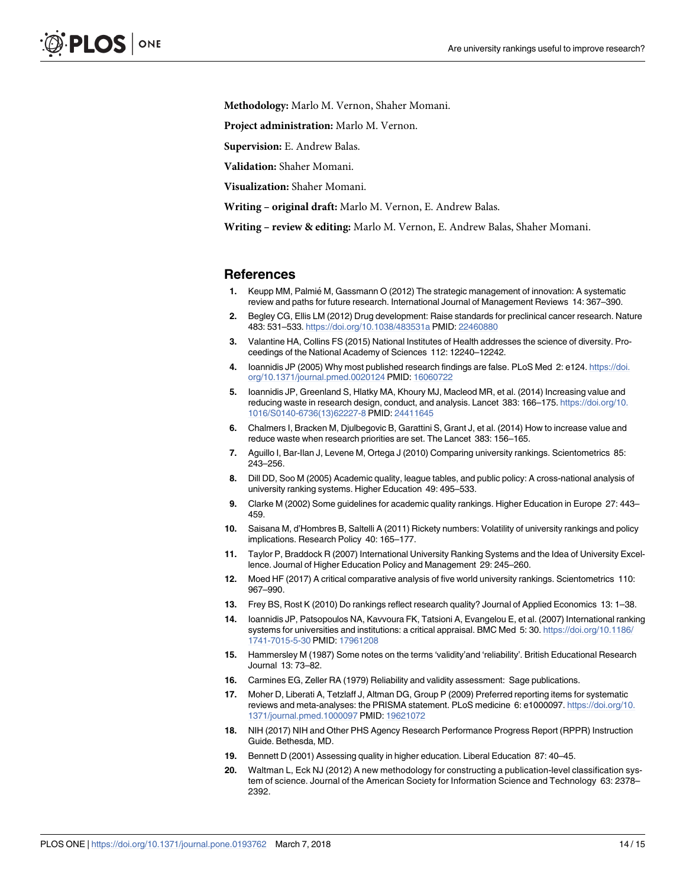<span id="page-13-0"></span>**Methodology:** Marlo M. Vernon, Shaher Momani.

**Project administration:** Marlo M. Vernon.

**Supervision:** E. Andrew Balas.

**Validation:** Shaher Momani.

**Visualization:** Shaher Momani.

**Writing – original draft:** Marlo M. Vernon, E. Andrew Balas.

**Writing – review & editing:** Marlo M. Vernon, E. Andrew Balas, Shaher Momani.

#### **References**

- **[1](#page-1-0).** Keupp MM, Palmié M, Gassmann O (2012) The strategic management of innovation: A systematic review and paths for future research. International Journal of Management Reviews 14: 367–390.
- **[2](#page-1-0).** Begley CG, Ellis LM (2012) Drug development: Raise standards for preclinical cancer research. Nature 483: 531–533. <https://doi.org/10.1038/483531a> PMID: [22460880](http://www.ncbi.nlm.nih.gov/pubmed/22460880)
- **3.** Valantine HA, Collins FS (2015) National Institutes of Health addresses the science of diversity. Proceedings of the National Academy of Sciences 112: 12240–12242.
- **4.** Ioannidis JP (2005) Why most published research findings are false. PLoS Med 2: e124. [https://doi.](https://doi.org/10.1371/journal.pmed.0020124) [org/10.1371/journal.pmed.0020124](https://doi.org/10.1371/journal.pmed.0020124) PMID: [16060722](http://www.ncbi.nlm.nih.gov/pubmed/16060722)
- **5.** Ioannidis JP, Greenland S, Hlatky MA, Khoury MJ, Macleod MR, et al. (2014) Increasing value and reducing waste in research design, conduct, and analysis. Lancet 383: 166–175. [https://doi.org/10.](https://doi.org/10.1016/S0140-6736(13)62227-8) [1016/S0140-6736\(13\)62227-8](https://doi.org/10.1016/S0140-6736(13)62227-8) PMID: [24411645](http://www.ncbi.nlm.nih.gov/pubmed/24411645)
- **[6](#page-1-0).** Chalmers I, Bracken M, Djulbegovic B, Garattini S, Grant J, et al. (2014) How to increase value and reduce waste when research priorities are set. The Lancet 383: 156–165.
- **[7](#page-1-0).** Aguillo I, Bar-Ilan J, Levene M, Ortega J (2010) Comparing university rankings. Scientometrics 85: 243–256.
- **[8](#page-1-0).** Dill DD, Soo M (2005) Academic quality, league tables, and public policy: A cross-national analysis of university ranking systems. Higher Education 49: 495–533.
- **9.** Clarke M (2002) Some guidelines for academic quality rankings. Higher Education in Europe 27: 443– 459.
- **[10](#page-1-0).** Saisana M, d'Hombres B, Saltelli A (2011) Rickety numbers: Volatility of university rankings and policy implications. Research Policy 40: 165–177.
- **11.** Taylor P, Braddock R (2007) International University Ranking Systems and the Idea of University Excellence. Journal of Higher Education Policy and Management 29: 245–260.
- **[12](#page-1-0).** Moed HF (2017) A critical comparative analysis of five world university rankings. Scientometrics 110: 967–990.
- **[13](#page-1-0).** Frey BS, Rost K (2010) Do rankings reflect research quality? Journal of Applied Economics 13: 1–38.
- **[14](#page-2-0).** Ioannidis JP, Patsopoulos NA, Kavvoura FK, Tatsioni A, Evangelou E, et al. (2007) International ranking systems for universities and institutions: a critical appraisal. BMC Med 5: 30. [https://doi.org/10.1186/](https://doi.org/10.1186/1741-7015-5-30) [1741-7015-5-30](https://doi.org/10.1186/1741-7015-5-30) PMID: [17961208](http://www.ncbi.nlm.nih.gov/pubmed/17961208)
- **[15](#page-2-0).** Hammersley M (1987) Some notes on the terms 'validity'and 'reliability'. British Educational Research Journal 13: 73–82.
- **[16](#page-2-0).** Carmines EG, Zeller RA (1979) Reliability and validity assessment: Sage publications.
- **[17](#page-2-0).** Moher D, Liberati A, Tetzlaff J, Altman DG, Group P (2009) Preferred reporting items for systematic reviews and meta-analyses: the PRISMA statement. PLoS medicine 6: e1000097. [https://doi.org/10.](https://doi.org/10.1371/journal.pmed.1000097) [1371/journal.pmed.1000097](https://doi.org/10.1371/journal.pmed.1000097) PMID: [19621072](http://www.ncbi.nlm.nih.gov/pubmed/19621072)
- **[18](#page-4-0).** NIH (2017) NIH and Other PHS Agency Research Performance Progress Report (RPPR) Instruction Guide. Bethesda, MD.
- **[19](#page-4-0).** Bennett D (2001) Assessing quality in higher education. Liberal Education 87: 40–45.
- **[20](#page-6-0).** Waltman L, Eck NJ (2012) A new methodology for constructing a publication-level classification system of science. Journal of the American Society for Information Science and Technology 63: 2378– 2392.